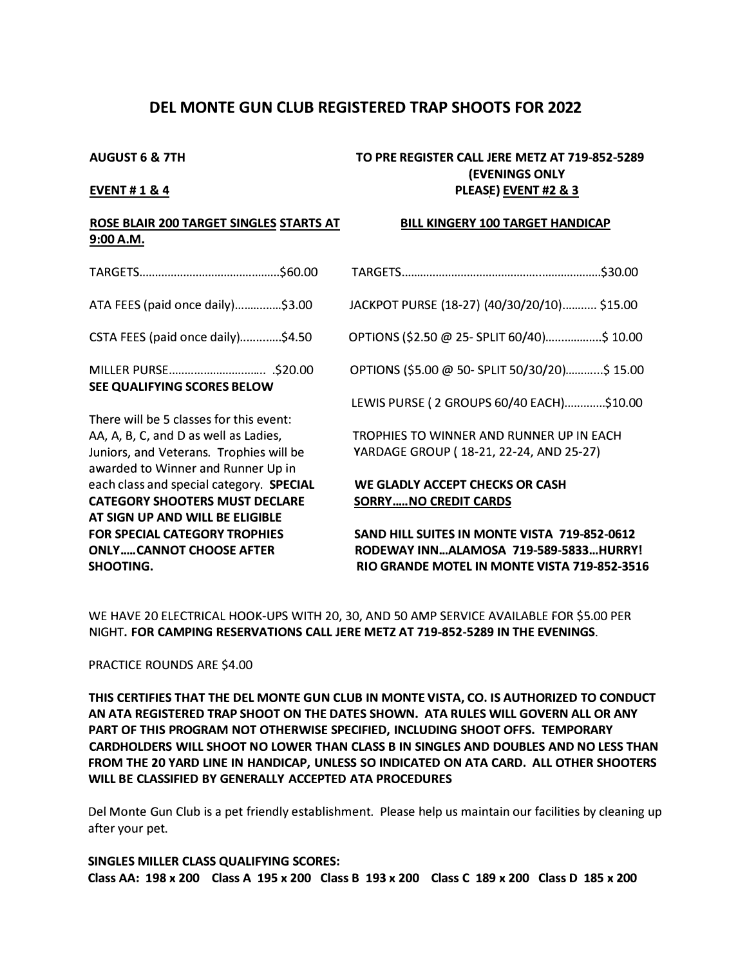# **DEL MONTE GUN CLUB REGISTERED TRAP SHOOTS FOR 2022**

### **AUGUST 6 & 7TH**

## **EVENT# 1 & 4**

## **ROSE BLAIR 200 TARGET SINGLES STARTS AT 9:00 A.M.**

## **TO PRE REGISTER CALL JERE METZ AT 719-852-5289 (EVENINGS ONLY PLEASE} EVENT#2 & 3**

### **BILL KINGERY 100 TARGET HANDICAP**

**RIO GRANDE MOTEL IN MONTE VISTA 719-852-3516** 

| ATA FEES (paid once daily)\$3.00                                              | JACKPOT PURSE (18-27) (40/30/20/10) \$15.00   |
|-------------------------------------------------------------------------------|-----------------------------------------------|
| CSTA FEES (paid once daily)\$4.50                                             | OPTIONS (\$2.50 @ 25- SPLIT 60/40)\$ 10.00    |
| SEE QUALIFYING SCORES BELOW                                                   | OPTIONS (\$5.00 @ 50- SPLIT 50/30/20)\$ 15.00 |
|                                                                               | LEWIS PURSE (2 GROUPS 60/40 EACH)\$10.00      |
| There will be 5 classes for this event:                                       |                                               |
| AA, A, B, C, and D as well as Ladies,                                         | TROPHIES TO WINNER AND RUNNER UP IN FACH      |
| Juniors, and Veterans. Trophies will be<br>awarded to Winner and Runner Up in | YARDAGE GROUP (18-21, 22-24, AND 25-27)       |
| each class and special category. SPECIAL                                      | WE GLADLY ACCEPT CHECKS OR CASH               |
| <b>CATEGORY SHOOTERS MUST DECLARE</b>                                         | <b>SORRYNO CREDIT CARDS</b>                   |
| AT SIGN UP AND WILL BE ELIGIBLE                                               |                                               |
| <b>FOR SPECIAL CATEGORY TROPHIES</b>                                          | SAND HILL SUITES IN MONTE VISTA 719-852-0612  |
| <b>ONLYCANNOT CHOOSE AFTER</b>                                                | RODEWAY INNALAMOSA 719-589-5833HURRY!         |

WE HAVE 20 ELECTRICAL HOOK-UPS WITH 20, 30, AND 50 AMP SERVICE AVAILABLE FOR \$5.00 PER NIGHT. **FOR CAMPING RESERVATIONS CALL JERE METZ AT 719-852-5289 IN THE EVENINGS.** 

PRACTICE ROUNDS ARE \$4.00

**SHOOTING.** 

**THIS CERTIFIES THAT THE DEL MONTE GUN CLUB IN MONTE VISTA, CO. IS AUTHORIZED TO CONDUCT AN ATA REGISTERED TRAP SHOOT ON THE DATES SHOWN. ATA RULES WILL GOVERN ALL OR ANY PART OF THIS PROGRAM NOT OTHERWISE SPECIFIED, INCLUDING SHOOT OFFS. TEMPORARY CARDHOLDERS WILL SHOOT NO LOWER THAN CLASS B IN SINGLES AND DOUBLES AND NO LESS THAN FROM THE 20 YARD LINE IN HANDICAP, UNLESS SO INDICATED ON ATA CARD. ALL OTHER SHOOTERS WILL BE CLASSIFIED BY GENERALLY ACCEPTED ATA PROCEDURES** 

Del Monte Gun Club is a pet friendly establishment. Please help us maintain our facilities by cleaning up after your pet.

**SINGLES MILLER CLASS QUALIFYING SCORES: Class AA: 198 x 200 Class A 195 x 200 Class B 193 x 200 Class C 189 x 200 Class D 185 x 200**